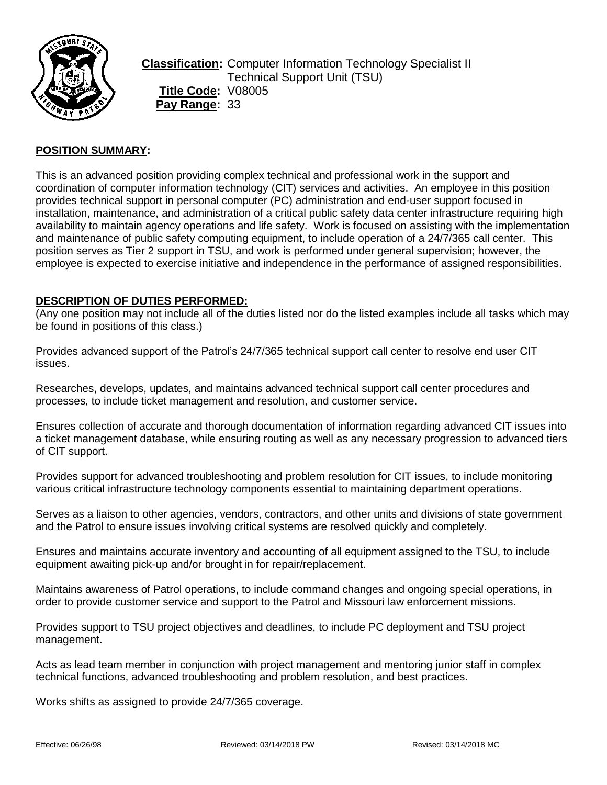

**Classification:** Computer Information Technology Specialist II Technical Support Unit (TSU) **Title Code:** V08005 **Pay Range:** 33

# **POSITION SUMMARY:**

This is an advanced position providing complex technical and professional work in the support and coordination of computer information technology (CIT) services and activities. An employee in this position provides technical support in personal computer (PC) administration and end-user support focused in installation, maintenance, and administration of a critical public safety data center infrastructure requiring high availability to maintain agency operations and life safety. Work is focused on assisting with the implementation and maintenance of public safety computing equipment, to include operation of a 24/7/365 call center. This position serves as Tier 2 support in TSU, and work is performed under general supervision; however, the employee is expected to exercise initiative and independence in the performance of assigned responsibilities.

#### **DESCRIPTION OF DUTIES PERFORMED:**

(Any one position may not include all of the duties listed nor do the listed examples include all tasks which may be found in positions of this class.)

Provides advanced support of the Patrol's 24/7/365 technical support call center to resolve end user CIT issues.

Researches, develops, updates, and maintains advanced technical support call center procedures and processes, to include ticket management and resolution, and customer service.

Ensures collection of accurate and thorough documentation of information regarding advanced CIT issues into a ticket management database, while ensuring routing as well as any necessary progression to advanced tiers of CIT support.

Provides support for advanced troubleshooting and problem resolution for CIT issues, to include monitoring various critical infrastructure technology components essential to maintaining department operations.

Serves as a liaison to other agencies, vendors, contractors, and other units and divisions of state government and the Patrol to ensure issues involving critical systems are resolved quickly and completely.

Ensures and maintains accurate inventory and accounting of all equipment assigned to the TSU, to include equipment awaiting pick-up and/or brought in for repair/replacement.

Maintains awareness of Patrol operations, to include command changes and ongoing special operations, in order to provide customer service and support to the Patrol and Missouri law enforcement missions.

Provides support to TSU project objectives and deadlines, to include PC deployment and TSU project management.

Acts as lead team member in conjunction with project management and mentoring junior staff in complex technical functions, advanced troubleshooting and problem resolution, and best practices.

Works shifts as assigned to provide 24/7/365 coverage.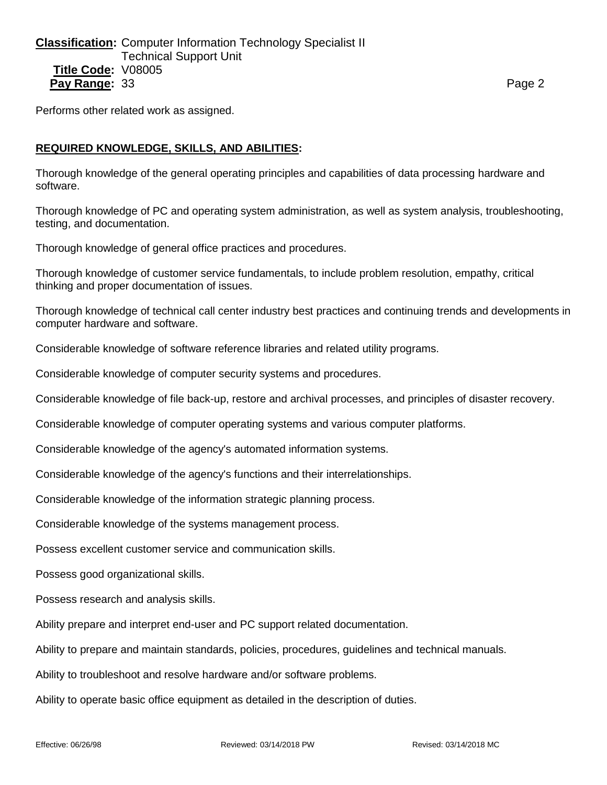**Classification:** Computer Information Technology Specialist II Technical Support Unit **Title Code:** V08005 **Pay Range:** 33 **Page 2 Page 2 Page 2 Page 2 Page 2** 

Performs other related work as assigned.

### **REQUIRED KNOWLEDGE, SKILLS, AND ABILITIES:**

Thorough knowledge of the general operating principles and capabilities of data processing hardware and software.

Thorough knowledge of PC and operating system administration, as well as system analysis, troubleshooting, testing, and documentation.

Thorough knowledge of general office practices and procedures.

Thorough knowledge of customer service fundamentals, to include problem resolution, empathy, critical thinking and proper documentation of issues.

Thorough knowledge of technical call center industry best practices and continuing trends and developments in computer hardware and software.

Considerable knowledge of software reference libraries and related utility programs.

Considerable knowledge of computer security systems and procedures.

Considerable knowledge of file back-up, restore and archival processes, and principles of disaster recovery.

Considerable knowledge of computer operating systems and various computer platforms.

Considerable knowledge of the agency's automated information systems.

Considerable knowledge of the agency's functions and their interrelationships.

Considerable knowledge of the information strategic planning process.

Considerable knowledge of the systems management process.

Possess excellent customer service and communication skills.

Possess good organizational skills.

Possess research and analysis skills.

Ability prepare and interpret end-user and PC support related documentation.

Ability to prepare and maintain standards, policies, procedures, guidelines and technical manuals.

Ability to troubleshoot and resolve hardware and/or software problems.

Ability to operate basic office equipment as detailed in the description of duties.